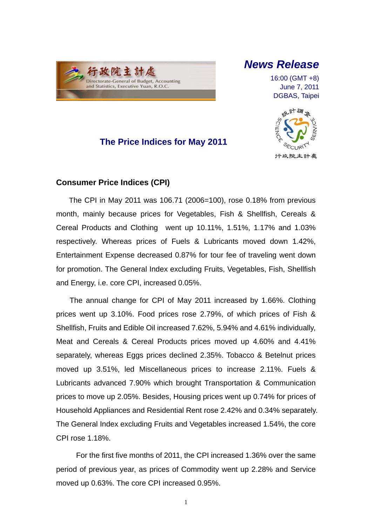

## *News Release*

16:00 (GMT +8) June 7, 2011 DGBAS, Taipei



## **The Price Indices for May 2011**

### **Consumer Price Indices (CPI)**

The CPI in May 2011 was 106.71 (2006=100), rose 0.18% from previous month, mainly because prices for Vegetables, Fish & Shellfish, Cereals & Cereal Products and Clothing went up 10.11%, 1.51%, 1.17% and 1.03% respectively. Whereas prices of Fuels & Lubricants moved down 1.42%, Entertainment Expense decreased 0.87% for tour fee of traveling went down for promotion. The General Index excluding Fruits, Vegetables, Fish, Shellfish and Energy, i.e. core CPI, increased 0.05%.

The annual change for CPI of May 2011 increased by 1.66%. Clothing prices went up 3.10%. Food prices rose 2.79%, of which prices of Fish & Shellfish, Fruits and Edible Oil increased 7.62%, 5.94% and 4.61% individually, Meat and Cereals & Cereal Products prices moved up 4.60% and 4.41% separately, whereas Eggs prices declined 2.35%. Tobacco & Betelnut prices moved up 3.51%, led Miscellaneous prices to increase 2.11%. Fuels & Lubricants advanced 7.90% which brought Transportation & Communication prices to move up 2.05%. Besides, Housing prices went up 0.74% for prices of Household Appliances and Residential Rent rose 2.42% and 0.34% separately. The General Index excluding Fruits and Vegetables increased 1.54%, the core CPI rose 1.18%.

For the first five months of 2011, the CPI increased 1.36% over the same period of previous year, as prices of Commodity went up 2.28% and Service moved up 0.63%. The core CPI increased 0.95%.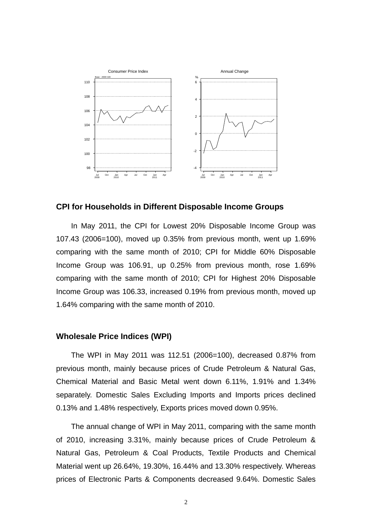

#### **CPI for Households in Different Disposable Income Groups**

In May 2011, the CPI for Lowest 20% Disposable Income Group was 107.43 (2006=100), moved up 0.35% from previous month, went up 1.69% comparing with the same month of 2010; CPI for Middle 60% Disposable Income Group was 106.91, up 0.25% from previous month, rose 1.69% comparing with the same month of 2010; CPI for Highest 20% Disposable Income Group was 106.33, increased 0.19% from previous month, moved up 1.64% comparing with the same month of 2010.

### **Wholesale Price Indices (WPI)**

The WPI in May 2011 was 112.51 (2006=100), decreased 0.87% from previous month, mainly because prices of Crude Petroleum & Natural Gas, Chemical Material and Basic Metal went down 6.11%, 1.91% and 1.34% separately. Domestic Sales Excluding Imports and Imports prices declined 0.13% and 1.48% respectively, Exports prices moved down 0.95%.

The annual change of WPI in May 2011, comparing with the same month of 2010, increasing 3.31%, mainly because prices of Crude Petroleum & Natural Gas, Petroleum & Coal Products, Textile Products and Chemical Material went up 26.64%, 19.30%, 16.44% and 13.30% respectively. Whereas prices of Electronic Parts & Components decreased 9.64%. Domestic Sales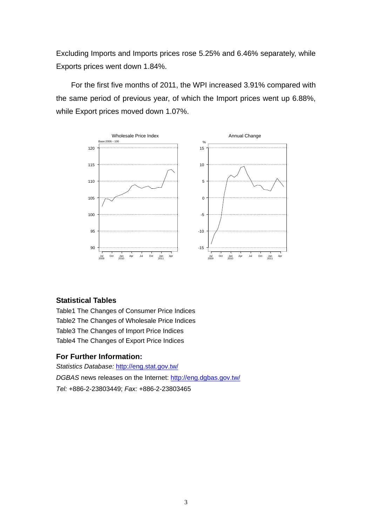Excluding Imports and Imports prices rose 5.25% and 6.46% separately, while Exports prices went down 1.84%.

For the first five months of 2011, the WPI increased 3.91% compared with the same period of previous year, of which the Import prices went up 6.88%, while Export prices moved down 1.07%.



### **Statistical Tables**

Table1 The Changes of Consumer Price Indices Table2 The Changes of Wholesale Price Indices Table3 The Changes of Import Price Indices Table4 The Changes of Export Price Indices

### **For Further Information:**

*Statistics Database:* http://eng.stat.gov.tw/ *DGBAS* news releases on the Internet: http://eng.dgbas.gov.tw/ *Tel:* +886-2-23803449; *Fax:* +886-2-23803465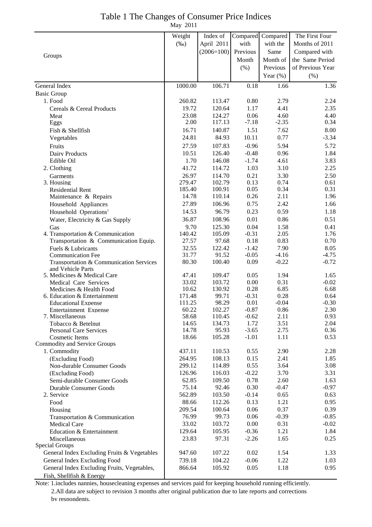## Table 1 The Changes of Consumer Price Indices

May 2011

|                                                  | Weight           | Index of         | Compared        | Compared     | The First Four   |
|--------------------------------------------------|------------------|------------------|-----------------|--------------|------------------|
|                                                  | $(\%0)$          | April 2011       | with            | with the     | Months of 2011   |
|                                                  |                  | $(2006=100)$     | Previous        | Same         | Compared with    |
| Groups                                           |                  |                  | Month           | Month of     | the Same Period  |
|                                                  |                  |                  | (% )            | Previous     | of Previous Year |
|                                                  |                  |                  |                 | Year $(\%)$  | (% )             |
| General Index                                    | 1000.00          | 106.71           | 0.18            | 1.66         | 1.36             |
| <b>Basic Group</b>                               |                  |                  |                 |              |                  |
| 1. Food                                          | 260.82           | 113.47           | 0.80            | 2.79         | 2.24             |
| Cereals & Cereal Products                        | 19.72            | 120.64           | 1.17            | 4.41         | 2.35             |
| Meat                                             | 23.08            | 124.27           | 0.06            | 4.60         | 4.40             |
| Eggs                                             | 2.00             | 117.13           | $-7.18$         | $-2.35$      | 0.34             |
| Fish & Shellfish                                 | 16.71            | 140.87           | 1.51            | 7.62         | 8.00             |
| Vegetables                                       | 24.81            | 84.93            | 10.11           | 0.77         | $-3.34$          |
| Fruits                                           | 27.59            | 107.83           | $-0.96$         | 5.94         | 5.72             |
| <b>Dairy Products</b>                            | 10.51            | 126.40           | $-0.48$         | 0.96         | 1.84             |
| Edible Oil                                       | 1.70             | 146.08           | $-1.74$         | 4.61         | 3.83             |
| 2. Clothing                                      | 41.72            | 114.72           | 1.03            | 3.10         | 2.25             |
| Garments                                         | 26.97            | 114.70           | 0.21            | 3.30         | 2.50             |
| 3. Housing                                       | 279.47<br>185.40 | 102.79<br>100.91 | 0.13<br>0.05    | 0.74<br>0.34 | 0.61<br>0.31     |
| <b>Residential Rent</b><br>Maintenance & Repairs | 14.78            | 110.14           | 0.26            | 2.11         | 1.96             |
| Household Appliances                             | 27.89            | 106.96           | 0.75            | 2.42         | 1.66             |
| Household Operations <sup>1</sup>                | 14.53            | 96.79            | 0.23            | 0.59         | 1.18             |
| Water, Electricity & Gas Supply                  | 36.87            | 108.96           | 0.01            | 0.86         | 0.51             |
| Gas                                              | 9.70             | 125.30           | 0.04            | 1.58         | 0.41             |
| 4. Transportation & Communication                | 140.42           | 105.09           | $-0.31$         | 2.05         | 1.76             |
| Transportation & Communication Equip.            | 27.57            | 97.68            | 0.18            | 0.83         | 0.70             |
| Fuels & Lubricants                               | 32.55            | 122.42           | $-1.42$         | 7.90         | 8.05             |
| <b>Communication Fee</b>                         | 31.77            | 91.52            | $-0.05$         | $-4.16$      | $-4.75$          |
| Transportation & Communication Services          | 80.30            | 100.40           | 0.09            | $-0.22$      | $-0.72$          |
| and Vehicle Parts<br>5. Medicines & Medical Care | 47.41            | 109.47           | 0.05            | 1.94         | 1.65             |
| Medical Care Services                            | 33.02            | 103.72           | 0.00            | 0.31         | $-0.02$          |
| Medicines & Health Food                          | 10.62            | 130.92           | 0.28            | 6.85         | 6.68             |
| 6. Education & Entertainment                     | 171.48           | 99.71            | $-0.31$         | 0.28         | 0.64             |
| <b>Educational Expense</b>                       | 111.25           | 98.29            | 0.01            | $-0.04$      | $-0.30$          |
| Entertainment Expense                            | 60.22            | 102.27           | $-0.87$         | 0.86         | 2.30             |
| 7. Miscellaneous<br>Tobacco & Betelnut           | 58.68<br>14.65   | 110.45<br>134.73 | $-0.62$<br>1.72 | 2.11<br>3.51 | 0.93<br>2.04     |
| <b>Personal Care Services</b>                    | 14.78            | 95.93            | $-3.65$         | 2.75         | 0.36             |
| <b>Cosmetic Items</b>                            | 18.66            | 105.28           | $-1.01$         | 1.11         | 0.53             |
| Commodity and Service Groups                     |                  |                  |                 |              |                  |
| 1. Commodity                                     | 437.11           | 110.53           | 0.55            | 2.90         | 2.28             |
| (Excluding Food)                                 | 264.95           | 108.13           | 0.15            | 2.41         | 1.85             |
| Non-durable Consumer Goods                       | 299.12           | 114.89           | 0.55            | 3.64         | 3.08             |
| (Excluding Food)                                 | 126.96           | 116.03           | $-0.22$         | 3.70         | 3.31             |
| Semi-durable Consumer Goods                      | 62.85            | 109.50           | 0.78            | 2.60         | 1.63             |
| <b>Durable Consumer Goods</b>                    | 75.14            | 92.46            | 0.30            | $-0.47$      | $-0.97$          |
| 2. Service                                       | 562.89<br>88.66  | 103.50           | $-0.14$         | 0.65         | 0.63             |
| Food<br>Housing                                  | 209.54           | 112.26<br>100.64 | 0.13<br>0.06    | 1.21<br>0.37 | 0.95<br>0.39     |
| Transportation & Communication                   | 76.99            | 99.73            | 0.06            | $-0.39$      | $-0.85$          |
| Medical Care                                     | 33.02            | 103.72           | 0.00            | 0.31         | $-0.02$          |
| Education & Entertainment                        | 129.64           | 105.95           | $-0.36$         | 1.21         | 1.84             |
| Miscellaneous                                    | 23.83            | 97.31            | $-2.26$         | 1.65         | 0.25             |
| Special Groups                                   |                  |                  |                 |              |                  |
| General Index Excluding Fruits & Vegetables      | 947.60           | 107.22           | 0.02            | 1.54         | 1.33             |
| General Index Excluding Food                     | 739.18           | 104.22           | $-0.06$         | 1.22         | 1.03             |
| General Index Excluding Fruits, Vegetables,      | 866.64           | 105.92           | 0.05            | 1.18         | 0.95             |
| Fish, Shellfish & Energy                         |                  |                  |                 |              |                  |

Note: 1.includes nannies, housecleaning expenses and services paid for keeping household running efficiently. 2.All data are subject to revision 3 months after original publication due to late reports and corrections by respondents.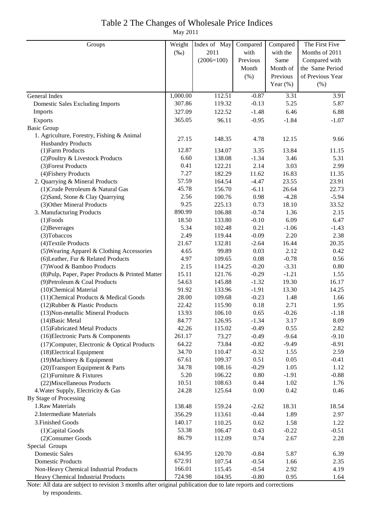## Table 2 The Changes of Wholesale Price Indices

May 2011

| Groups                                           | Weight   | Index of May | Compared | Compared    | The First Five   |
|--------------------------------------------------|----------|--------------|----------|-------------|------------------|
|                                                  | $(\%0)$  | 2011         | with     | with the    | Months of 2011   |
|                                                  |          | $(2006=100)$ | Previous | Same        | Compared with    |
|                                                  |          |              | Month    | Month of    | the Same Period  |
|                                                  |          |              | (% )     | Previous    | of Previous Year |
|                                                  |          |              |          | Year $(\%)$ | (% )             |
| General Index                                    | 1,000.00 | 112.51       | $-0.87$  | 3.31        | 3.91             |
| <b>Domestic Sales Excluding Imports</b>          | 307.86   | 119.32       | $-0.13$  | 5.25        | 5.87             |
| Imports                                          | 327.09   | 122.52       | $-1.48$  | 6.46        | 6.88             |
| Exports                                          | 365.05   | 96.11        | $-0.95$  | $-1.84$     | $-1.07$          |
| <b>Basic Group</b>                               |          |              |          |             |                  |
| 1. Agriculture, Forestry, Fishing & Animal       |          |              |          |             |                  |
| <b>Husbandry Products</b>                        | 27.15    | 148.35       | 4.78     | 12.15       | 9.66             |
| (1) Farm Products                                | 12.87    | 134.07       | 3.35     | 13.84       | 11.15            |
| (2) Poultry & Livestock Products                 | 6.60     | 138.08       | $-1.34$  | 3.46        | 5.31             |
| (3) Forest Products                              | 0.41     | 122.21       | 2.14     | 3.03        | 2.99             |
| (4) Fishery Products                             | 7.27     | 182.29       | 11.62    | 16.83       | 11.35            |
| 2. Quarrying & Mineral Products                  | 57.59    | 164.54       | $-4.47$  | 23.55       | 23.91            |
| (1) Crude Petroleum & Natural Gas                | 45.78    | 156.70       | $-6.11$  | 26.64       | 22.73            |
| (2) Sand, Stone & Clay Quarrying                 | 2.56     | 100.76       | 0.98     | $-4.28$     | $-5.94$          |
| (3) Other Mineral Products                       | 9.25     | 225.13       | 0.73     | 18.10       | 33.52            |
| 3. Manufacturing Products                        | 890.99   | 106.88       | $-0.74$  | 1.36        | 2.15             |
| $(1)$ Foods                                      | 18.50    | 133.80       | $-0.10$  | 6.09        | 6.47             |
| (2) Beverages                                    | 5.34     | 102.48       | 0.21     | $-1.06$     | $-1.43$          |
| (3) Tobaccos                                     | 2.49     | 119.44       | $-0.09$  | 2.20        | 2.38             |
| (4) Textile Products                             | 21.67    | 132.81       | $-2.64$  | 16.44       | 20.35            |
| (5) Wearing Apparel & Clothing Accessories       | 4.65     | 99.89        | 0.03     | 2.12        | 0.42             |
| (6) Leather, Fur & Related Products              | 4.97     | 109.65       | 0.08     | $-0.78$     | 0.56             |
| (7) Wood & Bamboo Products                       | 2.15     | 114.25       | $-0.20$  | $-3.31$     | 0.80             |
| (8) Pulp, Paper, Paper Products & Printed Matter | 15.11    | 121.76       | $-0.29$  | $-1.21$     | 1.55             |
| (9) Petroleum & Coal Products                    | 54.63    | 145.88       | $-1.32$  | 19.30       | 16.17            |
| (10)Chemical Material                            | 91.92    | 133.96       | $-1.91$  | 13.30       | 14.25            |
| (11) Chemical Products & Medical Goods           | 28.00    | 109.68       | $-0.23$  | 1.48        | 1.66             |
| (12) Rubber & Plastic Products                   | 22.42    | 115.90       | 0.18     | 2.71        | 1.95             |
| (13) Non-metallic Mineral Products               | 13.93    | 106.10       | 0.65     | $-0.26$     | $-1.18$          |
| $(14)$ Basic Metal                               | 84.77    | 126.95       | $-1.34$  | 3.17        | 8.09             |
| (15) Fabricated Metal Products                   | 42.26    | 115.02       | $-0.49$  | 0.55        | 2.82             |
| (16) Electronic Parts & Components               | 261.17   | 73.27        | $-0.49$  | $-9.64$     | $-9.10$          |
| (17) Computer, Electronic & Optical Products     | 64.22    | 73.84        | $-0.82$  | $-9.49$     | $-8.91$          |
| (18) Electrical Equipment                        | 34.70    | 110.47       | $-0.32$  | 1.55        | 2.59             |
| (19) Machinery & Equipment                       | 67.61    | 109.37       | 0.51     | 0.05        | $-0.41$          |
| (20) Transport Equipment & Parts                 | 34.78    | 108.16       | $-0.29$  | 1.05        | 1.12             |
| (21) Furniture & Fixtures                        | 5.20     | 106.22       | 0.80     | $-1.91$     | $-0.88$          |
| (22) Miscellaneous Products                      | 10.51    | 108.63       | 0.44     | 1.02        | 1.76             |
| 4. Water Supply, Electricity & Gas               | 24.28    | 125.64       | 0.00     | 0.42        | 0.46             |
| By Stage of Processing                           |          |              |          |             |                  |
| 1.Raw Materials                                  | 138.48   | 159.24       | $-2.62$  | 18.31       | 18.54            |
| 2. Intermediate Materials                        | 356.29   | 113.61       | $-0.44$  | 1.89        | 2.97             |
| 3. Finished Goods                                | 140.17   | 110.25       | 0.62     | 1.58        | 1.22             |
| (1) Capital Goods                                | 53.38    | 106.47       | 0.43     | $-0.22$     | $-0.51$          |
| (2) Consumer Goods                               | 86.79    | 112.09       | 0.74     | 2.67        | 2.28             |
| Special Groups                                   |          |              |          |             |                  |
| <b>Domestic Sales</b>                            | 634.95   | 120.70       | $-0.84$  | 5.87        | 6.39             |
| <b>Domestic Products</b>                         | 672.91   | 107.54       | $-0.54$  | 1.66        | 2.35             |
| Non-Heavy Chemical Industrial Products           | 166.01   | 115.45       | $-0.54$  | 2.92        | 4.19             |
| Heavy Chemical Industrial Products               | 724.98   | 104.95       | $-0.80$  | 0.95        | 1.64             |

Note: All data are subject to revision 3 months after original publication due to late reports and corrections by respondents.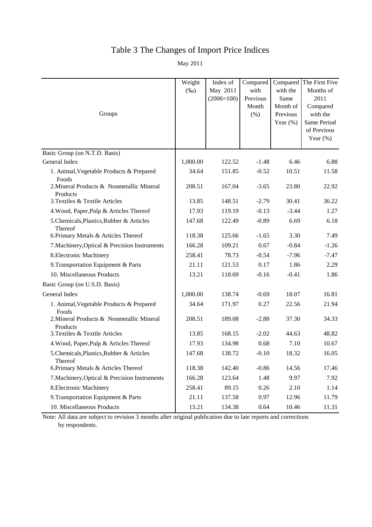# Table 3 The Changes of Import Price Indices

May 2011

|                                                       | Weight<br>$(\%0)$ | Index of<br>May 2011<br>$(2006=100)$ | Compared<br>with<br>Previous | with the<br>Same                     | Compared The First Five<br>Months of<br>2011                      |
|-------------------------------------------------------|-------------------|--------------------------------------|------------------------------|--------------------------------------|-------------------------------------------------------------------|
| Groups                                                |                   |                                      | Month<br>(% )                | Month of<br>Previous<br>Year $(\% )$ | Compared<br>with the<br>Same Period<br>of Previous<br>Year $(\%)$ |
| Basic Group (on N.T.D. Basis)                         |                   |                                      |                              |                                      |                                                                   |
| General Index                                         | 1,000.00          | 122.52                               | $-1.48$                      | 6.46                                 | 6.88                                                              |
| 1. Animal, Vegetable Products & Prepared<br>Foods     | 34.64             | 151.85                               | $-0.52$                      | 10.51                                | 11.58                                                             |
| 2. Mineral Products & Nonmetallic Mineral<br>Products | 208.51            | 167.04                               | $-3.65$                      | 23.80                                | 22.92                                                             |
| 3. Textiles & Textile Articles                        | 13.85             | 148.51                               | $-2.79$                      | 30.41                                | 36.22                                                             |
| 4. Wood, Paper, Pulp & Articles Thereof               | 17.93             | 119.19                               | $-0.13$                      | $-3.44$                              | 1.27                                                              |
| 5. Chemicals, Plastics, Rubber & Articles<br>Thereof  | 147.68            | 122.49                               | $-0.89$                      | 6.69                                 | 6.18                                                              |
| 6. Primary Metals & Articles Thereof                  | 118.38            | 125.66                               | $-1.65$                      | 3.30                                 | 7.49                                                              |
| 7. Machinery, Optical & Precision Instruments         | 166.28            | 109.21                               | 0.67                         | $-0.84$                              | $-1.26$                                                           |
| 8. Electronic Machinery                               | 258.41            | 78.73                                | $-0.54$                      | $-7.96$                              | $-7.47$                                                           |
| 9. Transportation Equipment & Parts                   | 21.11             | 121.53                               | 0.17                         | 1.86                                 | 2.29                                                              |
| 10. Miscellaneous Products                            | 13.21             | 118.69                               | $-0.16$                      | $-0.41$                              | 1.86                                                              |
| Basic Group (on U.S.D. Basis)                         |                   |                                      |                              |                                      |                                                                   |
| General Index                                         | 1,000.00          | 138.74                               | $-0.69$                      | 18.07                                | 16.81                                                             |
| 1. Animal, Vegetable Products & Prepared<br>Foods     | 34.64             | 171.97                               | 0.27                         | 22.56                                | 21.94                                                             |
| 2. Mineral Products & Nonmetallic Mineral<br>Products | 208.51            | 189.08                               | $-2.88$                      | 37.30                                | 34.33                                                             |
| 3. Textiles & Textile Articles                        | 13.85             | 168.15                               | $-2.02$                      | 44.63                                | 48.82                                                             |
| 4. Wood, Paper, Pulp & Articles Thereof               | 17.93             | 134.98                               | 0.68                         | 7.10                                 | 10.67                                                             |
| 5.Chemicals, Plastics, Rubber & Articles<br>Thereof   | 147.68            | 138.72                               | $-0.10$                      | 18.32                                | 16.05                                                             |
| 6. Primary Metals & Articles Thereof                  | 118.38            | 142.40                               | $-0.86$                      | 14.56                                | 17.46                                                             |
| 7. Machinery, Optical & Precision Instruments         | 166.28            | 123.64                               | 1.48                         | 9.97                                 | 7.92                                                              |
| 8. Electronic Machinery                               | 258.41            | 89.15                                | 0.26                         | 2.10                                 | 1.14                                                              |
| 9. Transportation Equipment & Parts                   | 21.11             | 137.58                               | 0.97                         | 12.96                                | 11.79                                                             |
| 10. Miscellaneous Products                            | 13.21             | 134.38                               | 0.64                         | 10.46                                | 11.31                                                             |

Note: All data are subject to revision 3 months after original publication due to late reports and corrections by respondents.